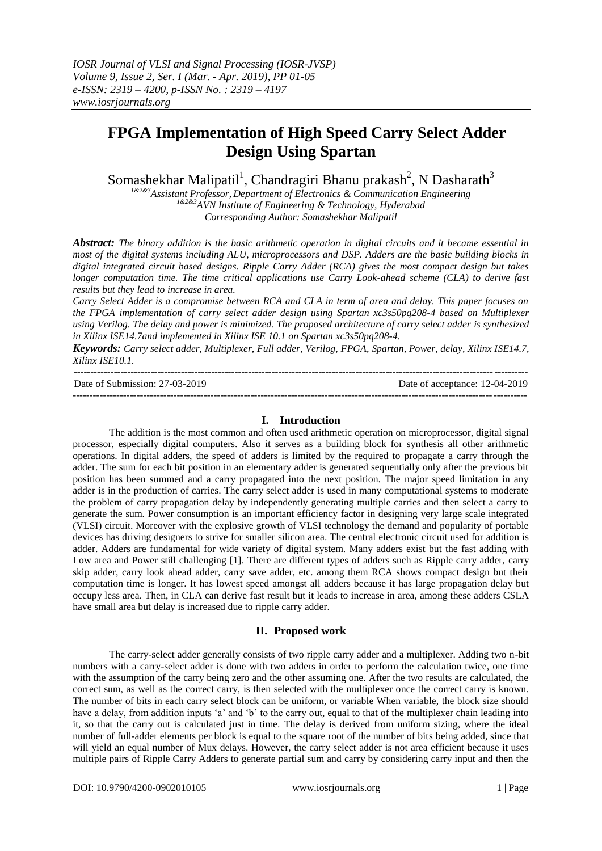# **FPGA Implementation of High Speed Carry Select Adder Design Using Spartan**

Somashekhar Malipatil<sup>1</sup>, Chandragiri Bhanu prakash<sup>2</sup>, N Dasharath<sup>3</sup>

*1&2&3Assistant Professor, Department of Electronics & Communication Engineering 1&2&3AVN Institute of Engineering & Technology, Hyderabad Corresponding Author: Somashekhar Malipatil* 

*Abstract: The binary addition is the basic arithmetic operation in digital circuits and it became essential in most of the digital systems including ALU, microprocessors and DSP. Adders are the basic building blocks in digital integrated circuit based designs. Ripple Carry Adder (RCA) gives the most compact design but takes longer computation time. The time critical applications use Carry Look-ahead scheme (CLA) to derive fast results but they lead to increase in area.*

*Carry Select Adder is a compromise between RCA and CLA in term of area and delay. This paper focuses on the FPGA implementation of carry select adder design using Spartan xc3s50pq208-4 based on Multiplexer using Verilog. The delay and power is minimized. The proposed architecture of carry select adder is synthesized in Xilinx ISE14.7and implemented in Xilinx ISE 10.1 on Spartan xc3s50pq208-4.*

*Keywords: Carry select adder, Multiplexer, Full adder, Verilog, FPGA, Spartan, Power, delay, Xilinx ISE14.7, Xilinx ISE10.1.*

--------------------------------------------------------------------------------------------------------------------------------------- Date of Submission: 27-03-2019 Date of acceptance: 12-04-2019 ---------------------------------------------------------------------------------------------------------------------------------------

## **I. Introduction**

The addition is the most common and often used arithmetic operation on microprocessor, digital signal processor, especially digital computers. Also it serves as a building block for synthesis all other arithmetic operations. In digital adders, the speed of adders is limited by the required to propagate a carry through the adder. The sum for each bit position in an elementary adder is generated sequentially only after the previous bit position has been summed and a carry propagated into the next position. The major speed limitation in any adder is in the production of carries. The carry select adder is used in many computational systems to moderate the problem of carry propagation delay by independently generating multiple carries and then select a carry to generate the sum. Power consumption is an important efficiency factor in designing very large scale integrated (VLSI) circuit. Moreover with the explosive growth of VLSI technology the demand and popularity of portable devices has driving designers to strive for smaller silicon area. The central electronic circuit used for addition is adder. Adders are fundamental for wide variety of digital system. Many adders exist but the fast adding with Low area and Power still challenging [1]. There are different types of adders such as Ripple carry adder, carry skip adder, carry look ahead adder, carry save adder, etc. among them RCA shows compact design but their computation time is longer. It has lowest speed amongst all adders because it has large propagation delay but occupy less area. Then, in CLA can derive fast result but it leads to increase in area, among these adders CSLA have small area but delay is increased due to ripple carry adder.

## **II. Proposed work**

The carry-select adder generally consists of two ripple carry adder and a multiplexer. Adding two n-bit numbers with a carry-select adder is done with two adders in order to perform the calculation twice, one time with the assumption of the carry being zero and the other assuming one. After the two results are calculated, the correct sum, as well as the correct carry, is then selected with the multiplexer once the correct carry is known. The number of bits in each carry select block can be uniform, or variable When variable, the block size should have a delay, from addition inputs 'a' and 'b' to the carry out, equal to that of the multiplexer chain leading into it, so that the carry out is calculated just in time. The delay is derived from uniform sizing, where the ideal number of full-adder elements per block is equal to the square root of the number of bits being added, since that will yield an equal number of Mux delays. However, the carry select adder is not area efficient because it uses multiple pairs of Ripple Carry Adders to generate partial sum and carry by considering carry input and then the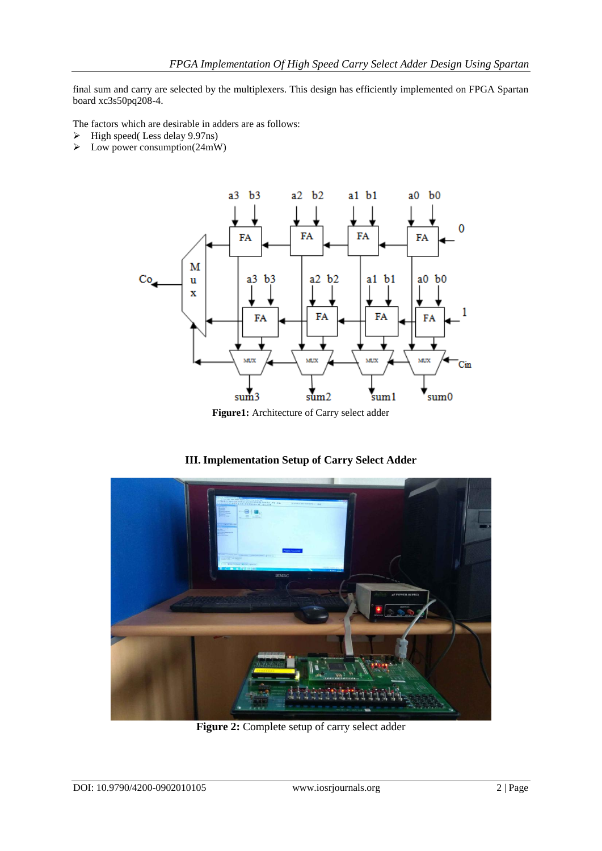final sum and carry are selected by the multiplexers. This design has efficiently implemented on FPGA Spartan board xc3s50pq208-4.

The factors which are desirable in adders are as follows:

- $\triangleright$  High speed(Less delay 9.97ns)
- $\triangleright$  Low power consumption(24mW)



## **III. Implementation Setup of Carry Select Adder**



**Figure 2:** Complete setup of carry select adder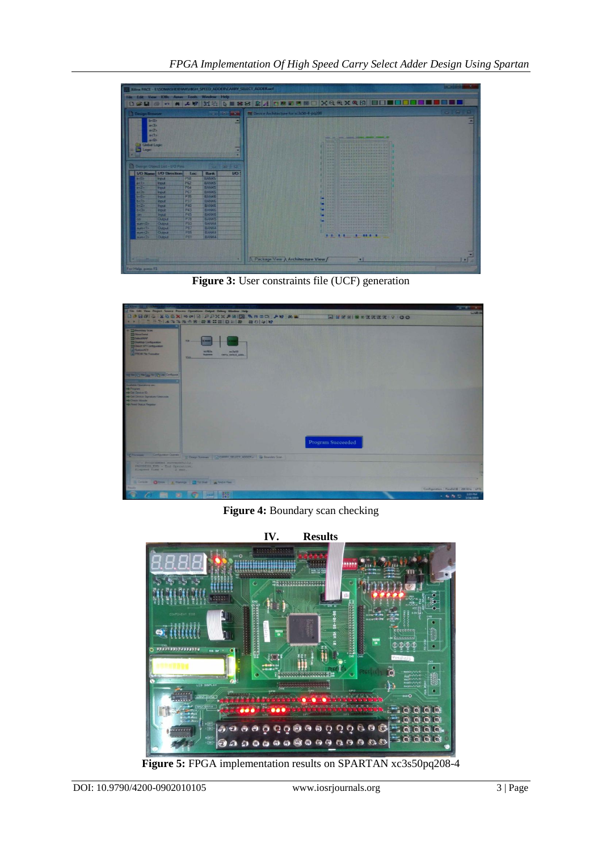

Figure 3: User constraints file (UCF) generation



**Figure 4:** Boundary scan checking



**Figure 5:** FPGA implementation results on SPARTAN xc3s50pq208-4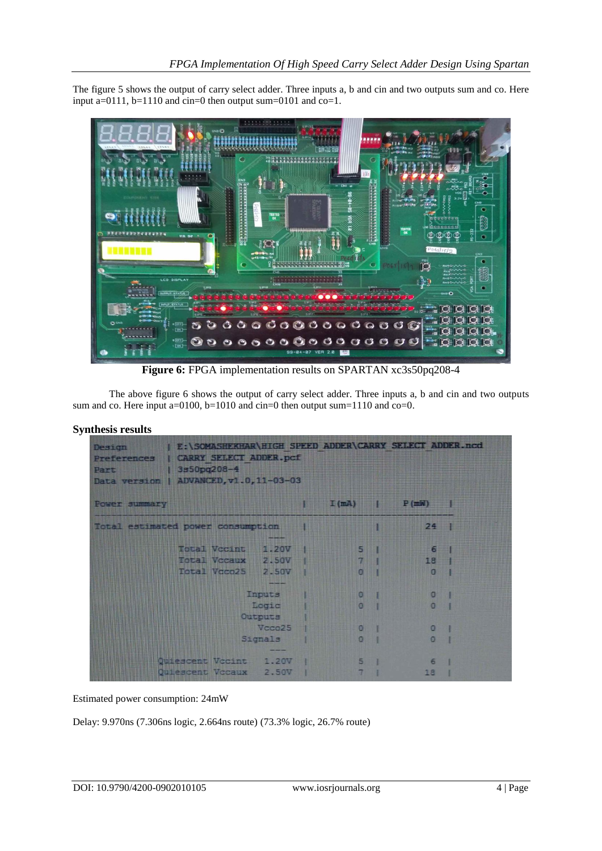The figure 5 shows the output of carry select adder. Three inputs a, b and cin and two outputs sum and co. Here input a=0111, b=1110 and cin=0 then output sum=0101 and co=1.



**Figure 6:** FPGA implementation results on SPARTAN xc3s50pq208-4

The above figure 6 shows the output of carry select adder. Three inputs a, b and cin and two outputs sum and co. Here input a=0100, b=1010 and cin=0 then output sum=1110 and co=0.

## **Synthesis results**

| Part <b>Miller</b>                | Design E:\SOMASHEKHAR\HIGH SPEED ADDER\CARRY SELECT ADDER.ncd<br>Preferences   CARRY SELECT ADDER.pcf<br>$1350pq208-4$<br>Data version   ADVANCED, v1.0, 11-03-03 |        |  |                   |                     |                                  |              |
|-----------------------------------|-------------------------------------------------------------------------------------------------------------------------------------------------------------------|--------|--|-------------------|---------------------|----------------------------------|--------------|
| Power summary                     |                                                                                                                                                                   |        |  |                   |                     | $I$ $(mA)$ $P(mN)$               |              |
| Total estimated power consumption |                                                                                                                                                                   |        |  |                   | $24$ 1              |                                  |              |
|                                   | <b>Total Vecint 1.20V</b>                                                                                                                                         |        |  | <b>EXAMPLE 19</b> |                     | 6 <sup>1</sup>                   |              |
|                                   | Total Vccaux 2.50V                                                                                                                                                |        |  |                   |                     | <b>7 Billion</b> Part 1<br>18    |              |
|                                   | Total Vcco25 2.50V                                                                                                                                                |        |  |                   |                     | <b>NO I DE LA CONTENTINA CON</b> | <b>MAUSE</b> |
|                                   |                                                                                                                                                                   | Inputs |  |                   | $\bullet$ $\bullet$ | <b>DESCRIPTION AND INCOME.</b>   |              |
|                                   | Logic<br>Outputs                                                                                                                                                  |        |  | $\overline{0}$ 1  |                     | $\Omega$                         |              |
|                                   |                                                                                                                                                                   |        |  |                   |                     |                                  |              |
| Vcco25                            |                                                                                                                                                                   |        |  | $\overline{0}$ 1  |                     | $\Omega$                         |              |
|                                   | Signals                                                                                                                                                           |        |  | 0 <sub>1</sub>    |                     | $\Omega$                         |              |
|                                   |                                                                                                                                                                   |        |  |                   |                     |                                  |              |
|                                   | Quiescent Vocint 1.20V                                                                                                                                            |        |  | 5 <sub>1</sub>    |                     | 6                                |              |
|                                   | Quiescent Vocaux 2.50V                                                                                                                                            |        |  | $\overline{7}$    |                     | 18                               |              |

Estimated power consumption: 24mW

Delay: 9.970ns (7.306ns logic, 2.664ns route) (73.3% logic, 26.7% route)